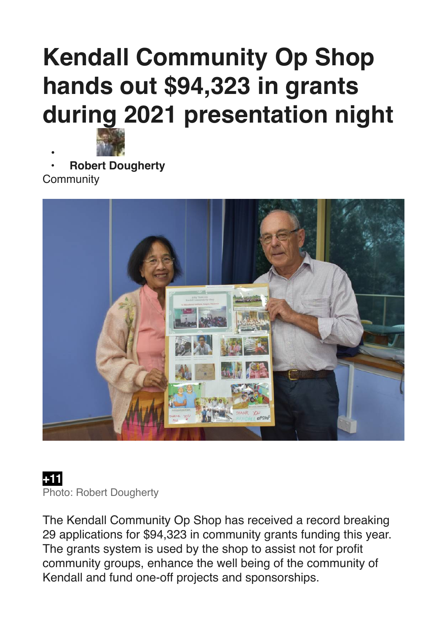## **Kendall Community Op Shop hands out \$94,323 in grants during 2021 presentation night**



**• • [Robert Dougherty](https://www.camdencourier.com.au/profile/912/robert-dougherty) [Community](https://www.camdencourier.com.au/community/)** 



## **+11**  Photo: Robert Dougherty

The Kendall Community Op Shop has received a record breaking 29 applications for \$94,323 in community grants funding this year. The grants system is used by the shop to assist not for profit community groups, enhance the well being of the community of Kendall and fund one-off projects and sponsorships.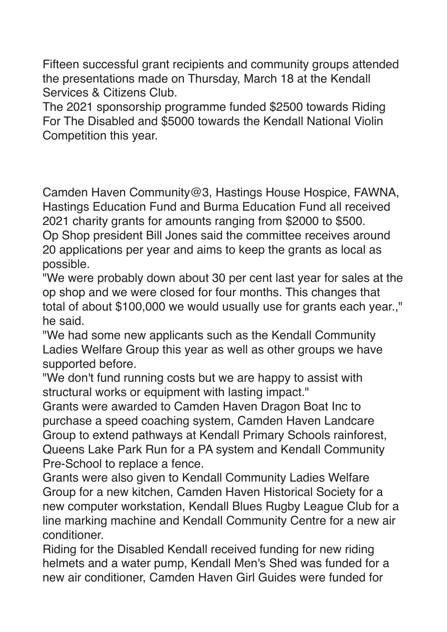Fifteen successful grant recipients and community groups attended the presentations made on Thursday, March 18 at the Kendall Services & Citizens Club.

The 2021 sponsorship programme funded \$2500 towards Riding For The Disabled and \$5000 towards the Kendall National Violin Competition this year.

Camden Haven Community@3, Hastings House Hospice, FAWNA, Hastings Education Fund and Burma Education Fund all received 2021 charity grants for amounts ranging from \$2000 to \$500. Op Shop president Bill Jones said the committee receives around 20 applications per year and aims to keep the grants as local as possible.

"We were probably down about 30 per cent last year for sales at the op shop and we were closed for four months. This changes that total of about \$100,000 we would usually use for grants each year.," he said.

"We had some new applicants such as the Kendall Community Ladies Welfare Group this year as well as other groups we have supported before.

"We don't fund running costs but we are happy to assist with structural works or equipment with lasting impact."

Grants were awarded to Camden Haven Dragon Boat Inc to purchase a speed coaching system, Camden Haven Landcare Group to extend pathways at Kendall Primary Schools rainforest, Queens Lake Park Run for a PA system and Kendall Community Pre-School to replace a fence.

Grants were also given to Kendall Community Ladies Welfare Group for a new kitchen, Camden Haven Historical Society for a new computer workstation, Kendall Blues Rugby League Club for a line marking machine and Kendall Community Centre for a new air conditioner.

Riding for the Disabled Kendall received funding for new riding helmets and a water pump, Kendall Men's Shed was funded for a new air conditioner, Camden Haven Girl Guides were funded for